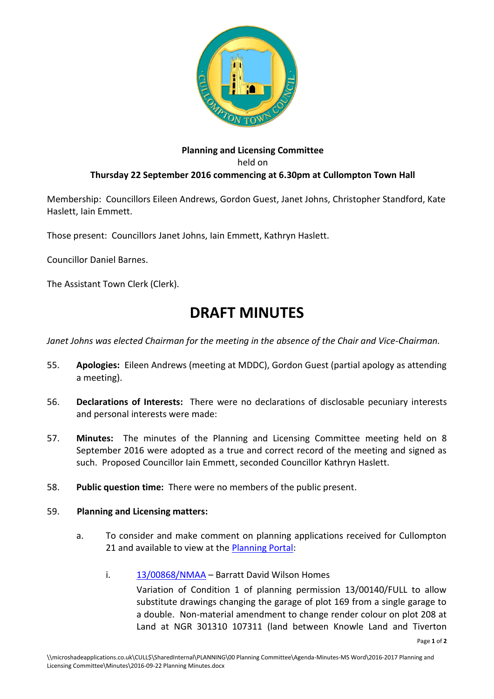

## **Planning and Licensing Committee** held on **Thursday 22 September 2016 commencing at 6.30pm at Cullompton Town Hall**

Membership: Councillors Eileen Andrews, Gordon Guest, Janet Johns, Christopher Standford, Kate Haslett, Iain Emmett.

Those present: Councillors Janet Johns, Iain Emmett, Kathryn Haslett.

Councillor Daniel Barnes.

The Assistant Town Clerk (Clerk).

## **DRAFT MINUTES**

*Janet Johns was elected Chairman for the meeting in the absence of the Chair and Vice-Chairman.*

- 55. **Apologies:** Eileen Andrews (meeting at MDDC), Gordon Guest (partial apology as attending a meeting).
- 56. **Declarations of Interests:** There were no declarations of disclosable pecuniary interests and personal interests were made:
- 57. **Minutes:** The minutes of the Planning and Licensing Committee meeting held on 8 September 2016 were adopted as a true and correct record of the meeting and signed as such. Proposed Councillor Iain Emmett, seconded Councillor Kathryn Haslett.
- 58. **Public question time:** There were no members of the public present.

## 59. **Planning and Licensing matters:**

- a. To consider and make comment on planning applications received for Cullompton 21 and available to view at the [Planning Portal:](http://planning.middevon.gov.uk/online-applications/refineSearch.do?action=refine)
	- i. [13/00868/NMAA](http://docs.middevon.gov.uk/pap/searchresult.asp?appNumber=13/00868/NMAA) Barratt David Wilson Homes

Variation of Condition 1 of planning permission 13/00140/FULL to allow substitute drawings changing the garage of plot 169 from a single garage to a double. Non-material amendment to change render colour on plot 208 at Land at NGR 301310 107311 (land between Knowle Land and Tiverton